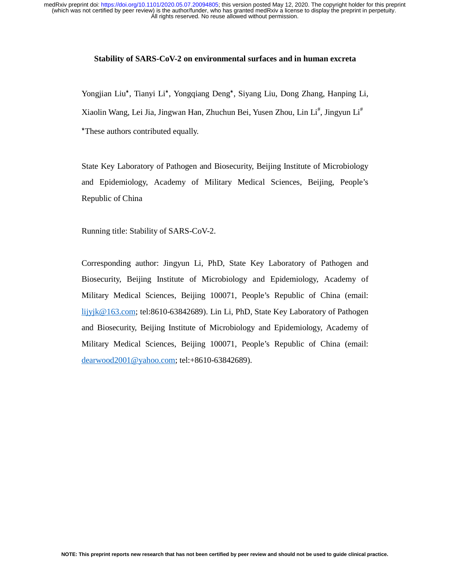All rights reserved. No reuse allowed without permission. (which was not certified by peer review) is the author/funder, who has granted medRxiv a license to display the preprint in perpetuity. medRxiv preprint doi: [https://doi.org/10.1101/2020.05.07.20094805;](https://doi.org/10.1101/2020.05.07.20094805) this version posted May 12, 2020. The copyright holder for this preprint

## **Stability of SARS-CoV-2 on environmental surfaces and in human excreta**

Yongjian Liu\*, Tianyi Li\*, Yongqiang Deng\*, Siyang Liu, Dong Zhang, Hanping Li, Xiaolin Wang, Lei Jia, Jingwan Han, Zhuchun Bei, Yusen Zhou, Lin Li<sup>#</sup>, Jingyun Li<sup>#</sup> \*These authors contributed equally.

State Key Laboratory of Pathogen and Biosecurity, Beijing Institute of Microbiology and Epidemiology, Academy of Military Medical Sciences, Beijing, People's Republic of China

Running title: Stability of SARS-CoV-2.

Corresponding author: Jingyun Li, PhD, State Key Laboratory of Pathogen and Biosecurity, Beijing Institute of Microbiology and Epidemiology, Academy of Military Medical Sciences, Beijing 100071, People's Republic of China (email: lijyjk@163.com; tel:8610-63842689). Lin Li, PhD, State Key Laboratory of Pathogen and Biosecurity, Beijing Institute of Microbiology and Epidemiology, Academy of Military Medical Sciences, Beijing 100071, People's Republic of China (email: dearwood2001@yahoo.com; tel:+8610-63842689).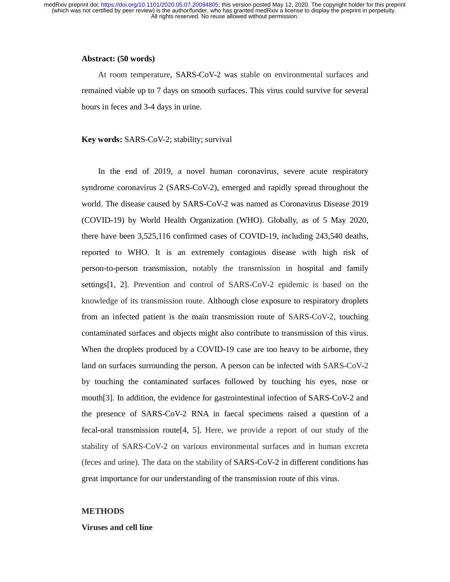All rights reserved. No reuse allowed without permission. (which was not certified by peer review) is the author/funder, who has granted medRxiv a license to display the preprint in perpetuity. medRxiv preprint doi: [https://doi.org/10.1101/2020.05.07.20094805;](https://doi.org/10.1101/2020.05.07.20094805) this version posted May 12, 2020. The copyright holder for this preprint

### **Abstract: (50 words)**

At room temperature, SARS-CoV-2 was stable on environmental surfaces and remained viable up to 7 days on smooth surfaces. This virus could survive for several hours in feces and 3-4 days in urine.

#### **Key words:** SARS-CoV-2; stability; survival

In the end of 2019, a novel human coronavirus, severe acute respiratory syndrome coronavirus 2 (SARS-CoV-2), emerged and rapidly spread throughout the world. The disease caused by SARS-CoV-2 was named as Coronavirus Disease 2019 (COVID-19) by World Health Organization (WHO). Globally, as of 5 May 2020, there have been 3,525,116 confirmed cases of COVID-19, including 243,540 deaths, reported to WHO. It is an extremely contagious disease with high risk of person-to-person transmission, notably the transmission in hospital and family settings[1, 2]. Prevention and control of SARS-CoV-2 epidemic is based on the knowledge of its transmission route. Although close exposure to respiratory droplets from an infected patient is the main transmission route of SARS-CoV-2, touching contaminated surfaces and objects might also contribute to transmission of this virus. When the droplets produced by a COVID-19 case are too heavy to be airborne, they land on surfaces surrounding the person. A person can be infected with SARS-CoV-2 by touching the contaminated surfaces followed by touching his eyes, nose or mouth[3]. In addition, the evidence for gastrointestinal infection of SARS-CoV-2 and the presence of SARS-CoV-2 RNA in faecal specimens raised a question of a fecal-oral transmission route[4, 5]. Here, we provide a report of our study of the stability of SARS-CoV-2 on various environmental surfaces and in human excreta (feces and urine). The data on the stability of SARS-CoV-2 in different conditions has great importance for our understanding of the transmission route of this virus.

### **METHODS**

### **Viruses and cell line**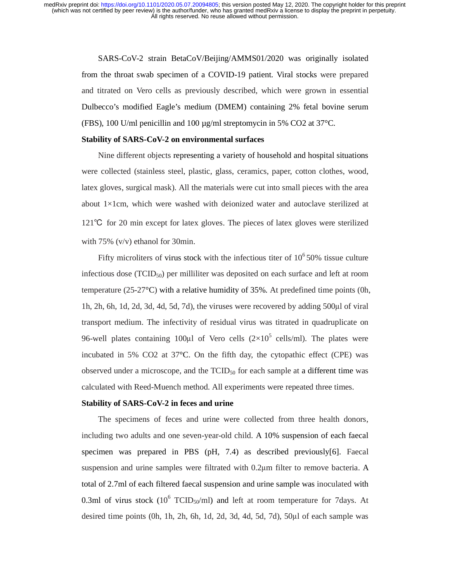All rights reserved. No reuse allowed without permission. (which was not certified by peer review) is the author/funder, who has granted medRxiv a license to display the preprint in perpetuity. medRxiv preprint doi: [https://doi.org/10.1101/2020.05.07.20094805;](https://doi.org/10.1101/2020.05.07.20094805) this version posted May 12, 2020. The copyright holder for this preprint

> SARS-CoV-2 strain BetaCoV/Beijing/AMMS01/2020 was originally isolated from the throat swab specimen of a COVID-19 patient. Viral stocks were prepared and titrated on Vero cells as previously described, which were grown in essential Dulbecco's modified Eagle's medium (DMEM) containing 2% fetal bovine serum (FBS), 100 U/ml penicillin and 100 µg/ml streptomycin in 5% CO2 at 37°C.

#### **Stability of SARS-CoV-2 on environmental surfaces**

Nine different objects representing a variety of household and hospital situations were collected (stainless steel, plastic, glass, ceramics, paper, cotton clothes, wood, latex gloves, surgical mask). All the materials were cut into small pieces with the area about 1×1cm, which were washed with deionized water and autoclave sterilized at <sup>121</sup>℃ for 20 min except for latex gloves. The pieces of latex gloves were sterilized with 75% (v/v) ethanol for 30min.

Fifty microliters of virus stock with the infectious titer of  $10^6$  50% tissue culture infectious dose (TCID50) per milliliter was deposited on each surface and left at room temperature (25-27°C) with a relative humidity of 35%. At predefined time points (0h, 1h, 2h, 6h, 1d, 2d, 3d, 4d, 5d, 7d), the viruses were recovered by adding 500μl of viral transport medium. The infectivity of residual virus was titrated in quadruplicate on 96-well plates containing 100 $\mu$ l of Vero cells (2×10<sup>5</sup> cells/ml). The plates were incubated in 5% CO2 at 37°C. On the fifth day, the cytopathic effect (CPE) was observed under a microscope, and the  $TCID_{50}$  for each sample at a different time was calculated with Reed-Muench method. All experiments were repeated three times.

### **Stability of SARS-CoV-2 in feces and urine**

The specimens of feces and urine were collected from three health donors, including two adults and one seven-year-old child. A 10% suspension of each faecal specimen was prepared in PBS  $(pH, 7.4)$  as described previously $[6]$ . Faecal suspension and urine samples were filtrated with 0.2μm filter to remove bacteria. A total of 2.7ml of each filtered faecal suspension and urine sample was inoculated with 0.3ml of virus stock  $(10^6$  TCID<sub>50</sub>/ml) and left at room temperature for 7 days. At desired time points (0h, 1h, 2h, 6h, 1d, 2d, 3d, 4d, 5d, 7d), 50μl of each sample was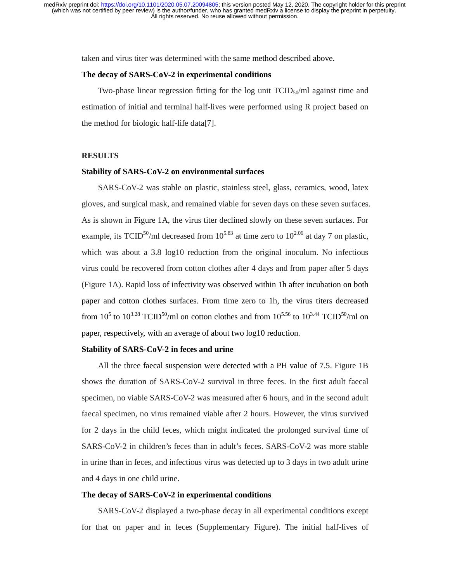taken and virus titer was determined with the same method described above.

### **The decay of SARS-CoV-2 in experimental conditions**

Two-phase linear regression fitting for the log unit  $TCID_{50}/ml$  against time and estimation of initial and terminal half-lives were performed using R project based on the method for biologic half-life data[7].

### **RESULTS**

## **Stability of SARS-CoV-2 on environmental surfaces**

SARS-CoV-2 was stable on plastic, stainless steel, glass, ceramics, wood, latex gloves, and surgical mask, and remained viable for seven days on these seven surfaces. As is shown in Figure 1A, the virus titer declined slowly on these seven surfaces. For example, its TCID<sup>50</sup>/ml decreased from  $10^{5.83}$  at time zero to  $10^{2.06}$  at day 7 on plastic, which was about a 3.8 log10 reduction from the original inoculum. No infectious virus could be recovered from cotton clothes after 4 days and from paper after 5 days (Figure 1A). Rapid loss of infectivity was observed within 1h after incubation on both paper and cotton clothes surfaces. From time zero to 1h, the virus titers decreased from 10<sup>5</sup> to 10<sup>3.28</sup> TCID<sup>50</sup>/ml on cotton clothes and from 10<sup>5.56</sup> to 10<sup>3.44</sup> TCID<sup>50</sup>/ml on paper, respectively, with an average of about two log10 reduction.

## **Stability of SARS-CoV-2 in feces and urine**

All the three faecal suspension were detected with a PH value of 7.5. Figure 1B shows the duration of SARS-CoV-2 survival in three feces. In the first adult faecal specimen, no viable SARS-CoV-2 was measured after 6 hours, and in the second adult faecal specimen, no virus remained viable after 2 hours. However, the virus survived for 2 days in the child feces, which might indicated the prolonged survival time of SARS-CoV-2 in children's feces than in adult's feces. SARS-CoV-2 was more stable in urine than in feces, and infectious virus was detected up to 3 days in two adult urine and 4 days in one child urine.

## **The decay of SARS-CoV-2 in experimental conditions**

SARS-CoV-2 displayed a two-phase decay in all experimental conditions except for that on paper and in feces (Supplementary Figure). The initial half-lives of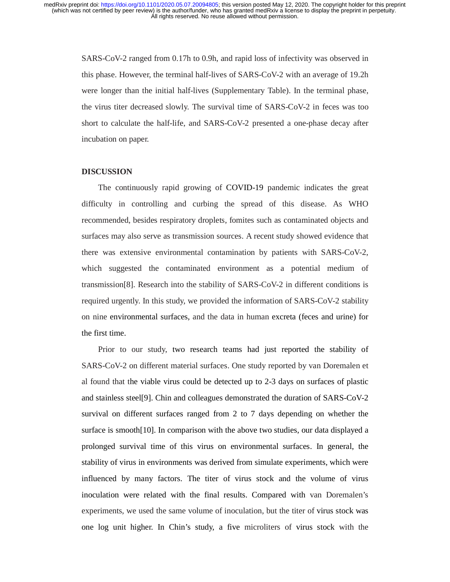SARS-CoV-2 ranged from 0.17h to 0.9h, and rapid loss of infectivity was observed in this phase. However, the terminal half-lives of SARS-CoV-2 with an average of 19.2h were longer than the initial half-lives (Supplementary Table). In the terminal phase, the virus titer decreased slowly. The survival time of SARS-CoV-2 in feces was too short to calculate the half-life, and SARS-CoV-2 presented a one-phase decay after incubation on paper.

#### **DISCUSSION**

The continuously rapid growing of COVID-19 pandemic indicates the great difficulty in controlling and curbing the spread of this disease. As WHO recommended, besides respiratory droplets, fomites such as contaminated objects and surfaces may also serve as transmission sources. A recent study showed evidence that there was extensive environmental contamination by patients with SARS-CoV-2, which suggested the contaminated environment as a potential medium of transmission[8]. Research into the stability of SARS-CoV-2 in different conditions is required urgently. In this study, we provided the information of SARS-CoV-2 stability on nine environmental surfaces, and the data in human excreta (feces and urine) for the first time.

Prior to our study, two research teams had just reported the stability of SARS-CoV-2 on different material surfaces. One study reported by van Doremalen et al found that the viable virus could be detected up to 2-3 days on surfaces of plastic and stainless steel[9]. Chin and colleagues demonstrated the duration of SARS-CoV-2 survival on different surfaces ranged from 2 to 7 days depending on whether the surface is smooth[10]. In comparison with the above two studies, our data displayed a prolonged survival time of this virus on environmental surfaces. In general, the stability of virus in environments was derived from simulate experiments, which were influenced by many factors. The titer of virus stock and the volume of virus inoculation were related with the final results. Compared with van Doremalen's experiments, we used the same volume of inoculation, but the titer of virus stock was one log unit higher. In Chin's study, a five microliters of virus stock with the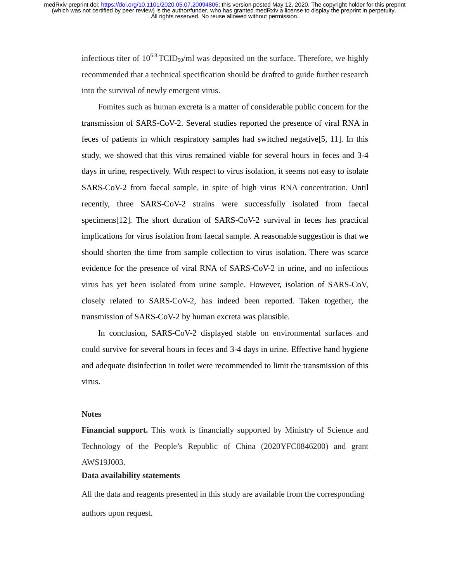infectious titer of  $10^{6.8}$  TCID<sub>50</sub>/ml was deposited on the surface. Therefore, we highly recommended that a technical specification should be drafted to guide further research into the survival of newly emergent virus.

Fomites such as human excreta is a matter of considerable public concern for the transmission of SARS-CoV-2. Several studies reported the presence of viral RNA in feces of patients in which respiratory samples had switched negative[5, 11]. In this study, we showed that this virus remained viable for several hours in feces and 3-4 days in urine, respectively. With respect to virus isolation, it seems not easy to isolate SARS-CoV-2 from faecal sample, in spite of high virus RNA concentration. Until recently, three SARS-CoV-2 strains were successfully isolated from faecal specimens[12]. The short duration of SARS-CoV-2 survival in feces has practical implications for virus isolation from faecal sample. A reasonable suggestion is that we should shorten the time from sample collection to virus isolation. There was scarce evidence for the presence of viral RNA of SARS-CoV-2 in urine, and no infectious virus has yet been isolated from urine sample. However, isolation of SARS-CoV, closely related to SARS-CoV-2, has indeed been reported. Taken together, the transmission of SARS-CoV-2 by human excreta was plausible.

In conclusion, SARS-CoV-2 displayed stable on environmental surfaces and could survive for several hours in feces and 3-4 days in urine. Effective hand hygiene and adequate disinfection in toilet were recommended to limit the transmission of this virus.

### **Notes**

**Financial support.** This work is financially supported by Ministry of Science and Technology of the People's Republic of China (2020YFC0846200) and grant AWS19J003.

### **Data availability statements**

All the data and reagents presented in this study are available from the corresponding authors upon request.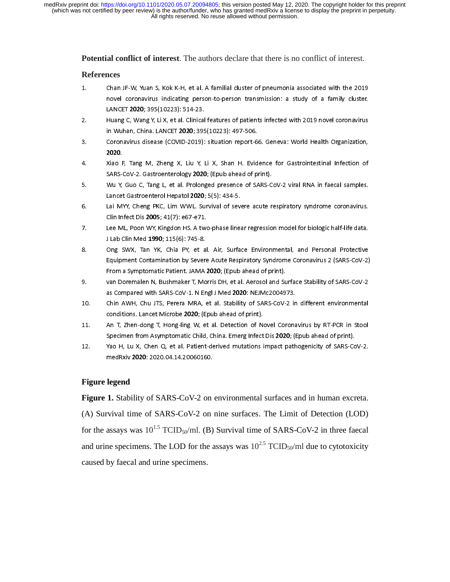**Potential conflict of interest**. The authors declare that there is no conflict of interest.

### **References**

- 1. Chan JF-W, Yuan S, Kok K-H, et al. A familial cluster of pneumonia associated with the 2019<br>novel coronavirus indicating person-to-person transmission: a study of a family cluster.<br>LANCET 2020; 395(10223): 514-23. سباني سيستين سيستين سيستين .<br>Huang C. Wang Y. Li X. et al. Clinical features of patients infected with 2019 novel coronavirus.
- LANCET 2020; 2020; 2020; 2020; 305<br>Huang C, Wang Y, Li X, et al. Clinical<br>in Wuhan. China. LANCET **2020**: 395  $\frac{2.6}{100}$  in Wuhan, China. LANCET 2020; 395(10223): 497-506.<br>2. Coronavirus disease (COVID-2019): situation report-66. Geneva: World Health Organization.
- in Wuhan, China. LANCET 2027, 2004, 2022, 2022<br>Coronavirus disease (COVID-2019): situation report-6<br>**2020**. 3. Coronavirus disease (COVID-2020, Coronavirus disease (COVID-2019)<br>2020.<br>4. Coronavirus disease (COVID-2019): Situation report-66. Geneva: Microsoftestinal Infection of
- ----<br>Xiao F<br>SARS-( 4. A Alternative Machine Microsoft, Tang M, 2020; (Epub ahead of print).<br>SARS-CoV-2. Gastroenterology 2020; (Epub ahead of print).<br>5. Wu Y. Guo C. Tang L. et al. Prolonged presence of SARS-CoV-2 viral RNA in faecal
- SARS-COV-2. Gastroenterology 2020; (Epub ahead of princ).<br>Wu Y, Guo C, Tang L, et al. Prolonged presence of SARS-C<br>Lancet Gastroenterol Hepatol 2020: 5(5): 434-5. 5. Wu Y, Guo<br>1920; S(5): 434-5. Lancet Gastroenterol Hepatol 2020; 5(5): 434-5.<br>6. Lai MYY. Cheng PKC. Lim WWL. Survival of severe acute respiratory syndrome coronavirus.
- Lancet Gastroenterol Hepatol 2020; 5(5): 134-5.<br>Lai MYY, Cheng PKC, Lim WWL. Survival of sev.<br>Clin Infect Dis 2005: 41(7): e67-e71. 6. Lai MYY, Cheng PKC, Lim WWL. Survival of severe acute respiratory syndrome coronavirus.
- Clin Infect Dis 2005; 41(7): e67-e71. 7. Lee ML, Poon WY, Kingdon HS. A two-phase linear regression model for biologic half-life data.
- J Lab Chin Med 1999; 115(6): 745-9.<br>Ong SWX, Tan YK, Chia PY, et a<br>Equipment Contamination by Sever 8. Ong SWX, Tan YK, Chia PY, et al. Air, Surface Environmental, and Personal Protective<br>Equipment Contamination by Severe Acute Respiratory Syndrome Coronavirus 2 (SARS-CoV-2)<br>From a Symptomatic Patient. JAMA 2020; (Epub a Equipment Contamination by Severe Acute Respiratory Syndrome Coronavirus 2 (SARS-Corona<br>From a Symptomatic Patient. JAMA **2020**; (Epub ahead of print).<br>van Doremalen N. Bushmaker T. Morris DH. et al. Aerosol and Surface St
- From a symptomatic Patient. J. Interaction (apub ahead of print).<br>Van Doremalen N, Bushmaker T, Morris DH, et al. Aerosol and Su<br>as Compared with SARS-CoV-1. N Engl J Med **2020**: NEJMc20049 as Compared with SARS-CoV-1. N Engl J Med 2020: NEJMc2004973.<br>10. Chin AWH, Chu JTS, Perera MRA, et al. Stability of SARS-CoV-2 in different environmental
- as Compared with Sharp-Compared with Sage interest transmissed to the<br>Chin AWH, Chu JTS, Perera MRA, et al. Stability of SARS-CoV-2 in<br>conditions. Lancet Microbe 2020: (Epub ahead of print). 10. Conditions. Lancet Microbe 2020; (Epub ahead of print).<br>11. An T. Zhen-dong T. Hong-ling W. et al. Detection of Novel Coronavirus by RT-PCR in Stool.
- conditions. Lancet Microbe 2020; (Epub ahead of print).<br>An T, Zhen-dong T, Hong-ling W, et al. Detection of Ni<br>Specimen from Asymptomatic Child. China. Emerg Infect 11. An T, Zhen-dong T, Hong-ling W, et al. Detection of Novel Coronavirus by RT-PCR in Stone:<br>12. Specimen from Asymptomatic Child, China. Emerg Infect Dis 2020; (Epub ahead of print).<br>12. Yao H, Lu X, Chen Q, et al. Patie
- Yao H, Lu X, Chen Q, et al. Patient-derived mutations impact pathogenicity of SARS-CoV-2. medRxiv 2020: 2020.04.14.20060160. medal and 2020.<br>Legend

# **Figure legend**

**Figure 1.** Stability of SARS-CoV-2 on environmental surfaces and in human excreta.

(A) Survival time of SARS-CoV-2 on nine surfaces. The Limit of Detection (LOD) for the assays was  $10^{1.5}$  TCID<sub>50</sub>/ml. (B) Survival time of SARS-CoV-2 in three faecal and urine specimens. The LOD for the assays was  $10^{2.5}$  TCID<sub>50</sub>/ml due to cytotoxicity caused by faecal and urine specimens.